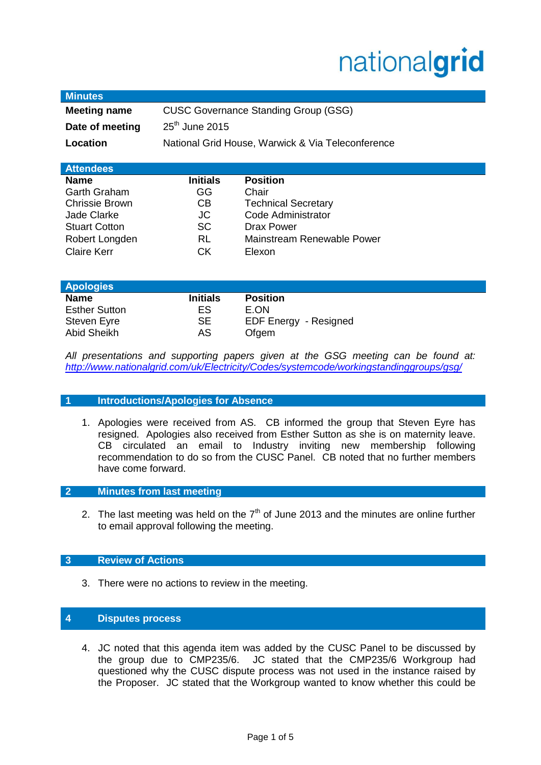# nationalgrid

| <b>Minutes</b>        |                                                   |                              |
|-----------------------|---------------------------------------------------|------------------------------|
| <b>Meeting name</b>   | <b>CUSC Governance Standing Group (GSG)</b>       |                              |
| Date of meeting       | $25th$ June 2015                                  |                              |
| Location              | National Grid House, Warwick & Via Teleconference |                              |
|                       |                                                   |                              |
| <b>Attendees</b>      |                                                   |                              |
| <b>Name</b>           | <b>Initials</b>                                   | <b>Position</b>              |
| Garth Graham          | GG                                                | Chair                        |
| <b>Chrissie Brown</b> | CB                                                | <b>Technical Secretary</b>   |
| <b>Jade Clarke</b>    | JC                                                | Code Administrator           |
| <b>Stuart Cotton</b>  | SC                                                | Drax Power                   |
| Robert Longden        | <b>RL</b>                                         | Mainstream Renewable Power   |
| <b>Claire Kerr</b>    | <b>CK</b>                                         | Elexon                       |
|                       |                                                   |                              |
| <b>Apologies</b>      |                                                   |                              |
| <b>Name</b>           | <b>Initials</b>                                   | <b>Position</b>              |
| <b>Esther Sutton</b>  | ES                                                | E.ON                         |
| Steven Eyre           | <b>SE</b>                                         | <b>EDF Energy - Resigned</b> |
| Abid Sheikh           | AS                                                | Ofgem                        |

*All presentations and supporting papers given at the GSG meeting can be found at: <http://www.nationalgrid.com/uk/Electricity/Codes/systemcode/workingstandinggroups/gsg/>*

## **1 Introductions/Apologies for Absence**

1. Apologies were received from AS. CB informed the group that Steven Eyre has resigned. Apologies also received from Esther Sutton as she is on maternity leave. CB circulated an email to Industry inviting new membership following recommendation to do so from the CUSC Panel. CB noted that no further members have come forward.

## **2 Minutes from last meeting**

2. The last meeting was held on the  $7<sup>th</sup>$  of June 2013 and the minutes are online further to email approval following the meeting.

## **3 Review of Actions**

3. There were no actions to review in the meeting.

## **4 Disputes process**

4. JC noted that this agenda item was added by the CUSC Panel to be discussed by the group due to CMP235/6. JC stated that the CMP235/6 Workgroup had questioned why the CUSC dispute process was not used in the instance raised by the Proposer. JC stated that the Workgroup wanted to know whether this could be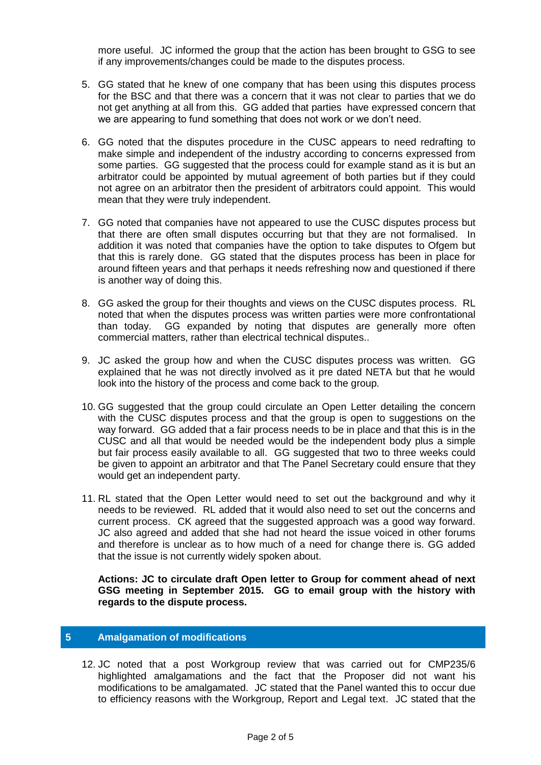more useful. JC informed the group that the action has been brought to GSG to see if any improvements/changes could be made to the disputes process.

- 5. GG stated that he knew of one company that has been using this disputes process for the BSC and that there was a concern that it was not clear to parties that we do not get anything at all from this. GG added that parties have expressed concern that we are appearing to fund something that does not work or we don't need.
- 6. GG noted that the disputes procedure in the CUSC appears to need redrafting to make simple and independent of the industry according to concerns expressed from some parties. GG suggested that the process could for example stand as it is but an arbitrator could be appointed by mutual agreement of both parties but if they could not agree on an arbitrator then the president of arbitrators could appoint. This would mean that they were truly independent.
- 7. GG noted that companies have not appeared to use the CUSC disputes process but that there are often small disputes occurring but that they are not formalised. In addition it was noted that companies have the option to take disputes to Ofgem but that this is rarely done. GG stated that the disputes process has been in place for around fifteen years and that perhaps it needs refreshing now and questioned if there is another way of doing this.
- 8. GG asked the group for their thoughts and views on the CUSC disputes process. RL noted that when the disputes process was written parties were more confrontational than today. GG expanded by noting that disputes are generally more often commercial matters, rather than electrical technical disputes..
- 9. JC asked the group how and when the CUSC disputes process was written. GG explained that he was not directly involved as it pre dated NETA but that he would look into the history of the process and come back to the group.
- 10. GG suggested that the group could circulate an Open Letter detailing the concern with the CUSC disputes process and that the group is open to suggestions on the way forward. GG added that a fair process needs to be in place and that this is in the CUSC and all that would be needed would be the independent body plus a simple but fair process easily available to all. GG suggested that two to three weeks could be given to appoint an arbitrator and that The Panel Secretary could ensure that they would get an independent party.
- 11. RL stated that the Open Letter would need to set out the background and why it needs to be reviewed. RL added that it would also need to set out the concerns and current process. CK agreed that the suggested approach was a good way forward. JC also agreed and added that she had not heard the issue voiced in other forums and therefore is unclear as to how much of a need for change there is. GG added that the issue is not currently widely spoken about.

**Actions: JC to circulate draft Open letter to Group for comment ahead of next GSG meeting in September 2015. GG to email group with the history with regards to the dispute process.** 

# **5 Amalgamation of modifications**

12. JC noted that a post Workgroup review that was carried out for CMP235/6 highlighted amalgamations and the fact that the Proposer did not want his modifications to be amalgamated. JC stated that the Panel wanted this to occur due to efficiency reasons with the Workgroup, Report and Legal text. JC stated that the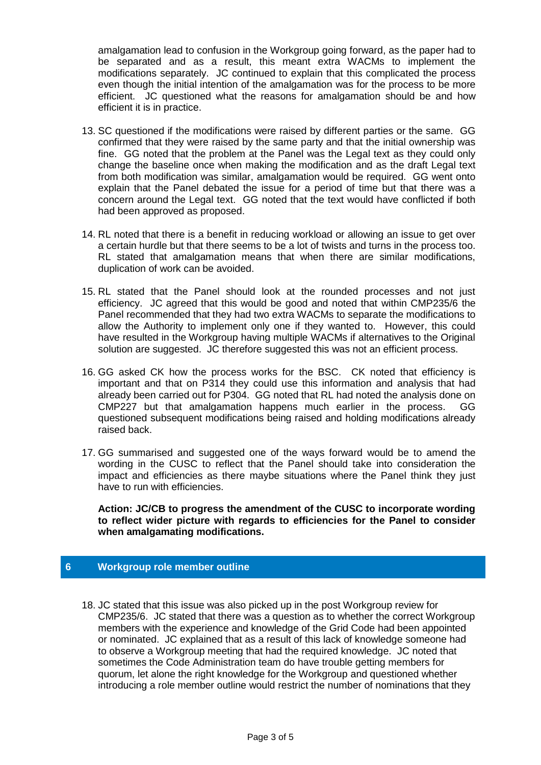amalgamation lead to confusion in the Workgroup going forward, as the paper had to be separated and as a result, this meant extra WACMs to implement the modifications separately. JC continued to explain that this complicated the process even though the initial intention of the amalgamation was for the process to be more efficient. JC questioned what the reasons for amalgamation should be and how efficient it is in practice.

- 13. SC questioned if the modifications were raised by different parties or the same. GG confirmed that they were raised by the same party and that the initial ownership was fine. GG noted that the problem at the Panel was the Legal text as they could only change the baseline once when making the modification and as the draft Legal text from both modification was similar, amalgamation would be required. GG went onto explain that the Panel debated the issue for a period of time but that there was a concern around the Legal text. GG noted that the text would have conflicted if both had been approved as proposed.
- 14. RL noted that there is a benefit in reducing workload or allowing an issue to get over a certain hurdle but that there seems to be a lot of twists and turns in the process too. RL stated that amalgamation means that when there are similar modifications, duplication of work can be avoided.
- 15. RL stated that the Panel should look at the rounded processes and not just efficiency. JC agreed that this would be good and noted that within CMP235/6 the Panel recommended that they had two extra WACMs to separate the modifications to allow the Authority to implement only one if they wanted to. However, this could have resulted in the Workgroup having multiple WACMs if alternatives to the Original solution are suggested. JC therefore suggested this was not an efficient process.
- 16. GG asked CK how the process works for the BSC. CK noted that efficiency is important and that on P314 they could use this information and analysis that had already been carried out for P304. GG noted that RL had noted the analysis done on CMP227 but that amalgamation happens much earlier in the process. GG questioned subsequent modifications being raised and holding modifications already raised back.
- 17. GG summarised and suggested one of the ways forward would be to amend the wording in the CUSC to reflect that the Panel should take into consideration the impact and efficiencies as there maybe situations where the Panel think they just have to run with efficiencies.

**Action: JC/CB to progress the amendment of the CUSC to incorporate wording to reflect wider picture with regards to efficiencies for the Panel to consider when amalgamating modifications.**

# **6 Workgroup role member outline**

18. JC stated that this issue was also picked up in the post Workgroup review for CMP235/6. JC stated that there was a question as to whether the correct Workgroup members with the experience and knowledge of the Grid Code had been appointed or nominated. JC explained that as a result of this lack of knowledge someone had to observe a Workgroup meeting that had the required knowledge. JC noted that sometimes the Code Administration team do have trouble getting members for quorum, let alone the right knowledge for the Workgroup and questioned whether introducing a role member outline would restrict the number of nominations that they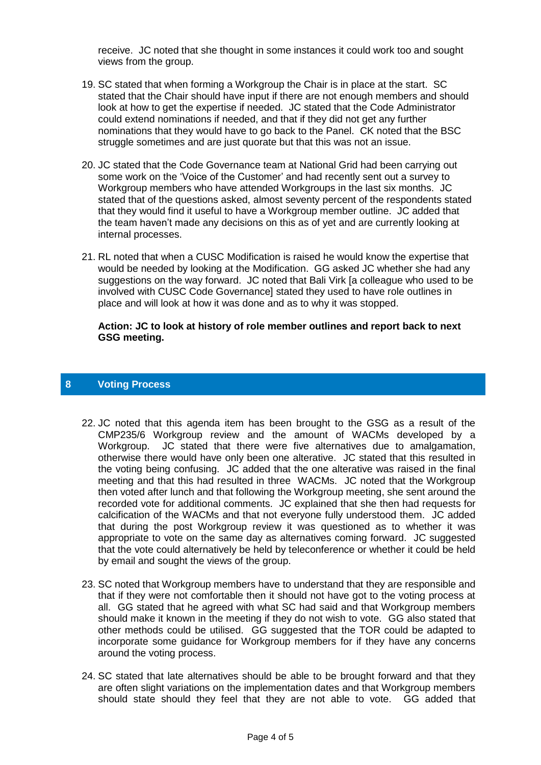receive. JC noted that she thought in some instances it could work too and sought views from the group.

- 19. SC stated that when forming a Workgroup the Chair is in place at the start. SC stated that the Chair should have input if there are not enough members and should look at how to get the expertise if needed. JC stated that the Code Administrator could extend nominations if needed, and that if they did not get any further nominations that they would have to go back to the Panel. CK noted that the BSC struggle sometimes and are just quorate but that this was not an issue.
- 20. JC stated that the Code Governance team at National Grid had been carrying out some work on the 'Voice of the Customer' and had recently sent out a survey to Workgroup members who have attended Workgroups in the last six months. JC stated that of the questions asked, almost seventy percent of the respondents stated that they would find it useful to have a Workgroup member outline. JC added that the team haven't made any decisions on this as of yet and are currently looking at internal processes.
- 21. RL noted that when a CUSC Modification is raised he would know the expertise that would be needed by looking at the Modification. GG asked JC whether she had any suggestions on the way forward. JC noted that Bali Virk [a colleague who used to be involved with CUSC Code Governance] stated they used to have role outlines in place and will look at how it was done and as to why it was stopped.

### **Action: JC to look at history of role member outlines and report back to next GSG meeting.**

## **8 Voting Process**

- 22. JC noted that this agenda item has been brought to the GSG as a result of the CMP235/6 Workgroup review and the amount of WACMs developed by a Workgroup. JC stated that there were five alternatives due to amalgamation, otherwise there would have only been one alterative. JC stated that this resulted in the voting being confusing. JC added that the one alterative was raised in the final meeting and that this had resulted in three WACMs. JC noted that the Workgroup then voted after lunch and that following the Workgroup meeting, she sent around the recorded vote for additional comments. JC explained that she then had requests for calcification of the WACMs and that not everyone fully understood them. JC added that during the post Workgroup review it was questioned as to whether it was appropriate to vote on the same day as alternatives coming forward. JC suggested that the vote could alternatively be held by teleconference or whether it could be held by email and sought the views of the group.
- 23. SC noted that Workgroup members have to understand that they are responsible and that if they were not comfortable then it should not have got to the voting process at all. GG stated that he agreed with what SC had said and that Workgroup members should make it known in the meeting if they do not wish to vote. GG also stated that other methods could be utilised. GG suggested that the TOR could be adapted to incorporate some guidance for Workgroup members for if they have any concerns around the voting process.
- 24. SC stated that late alternatives should be able to be brought forward and that they are often slight variations on the implementation dates and that Workgroup members should state should they feel that they are not able to vote. GG added that